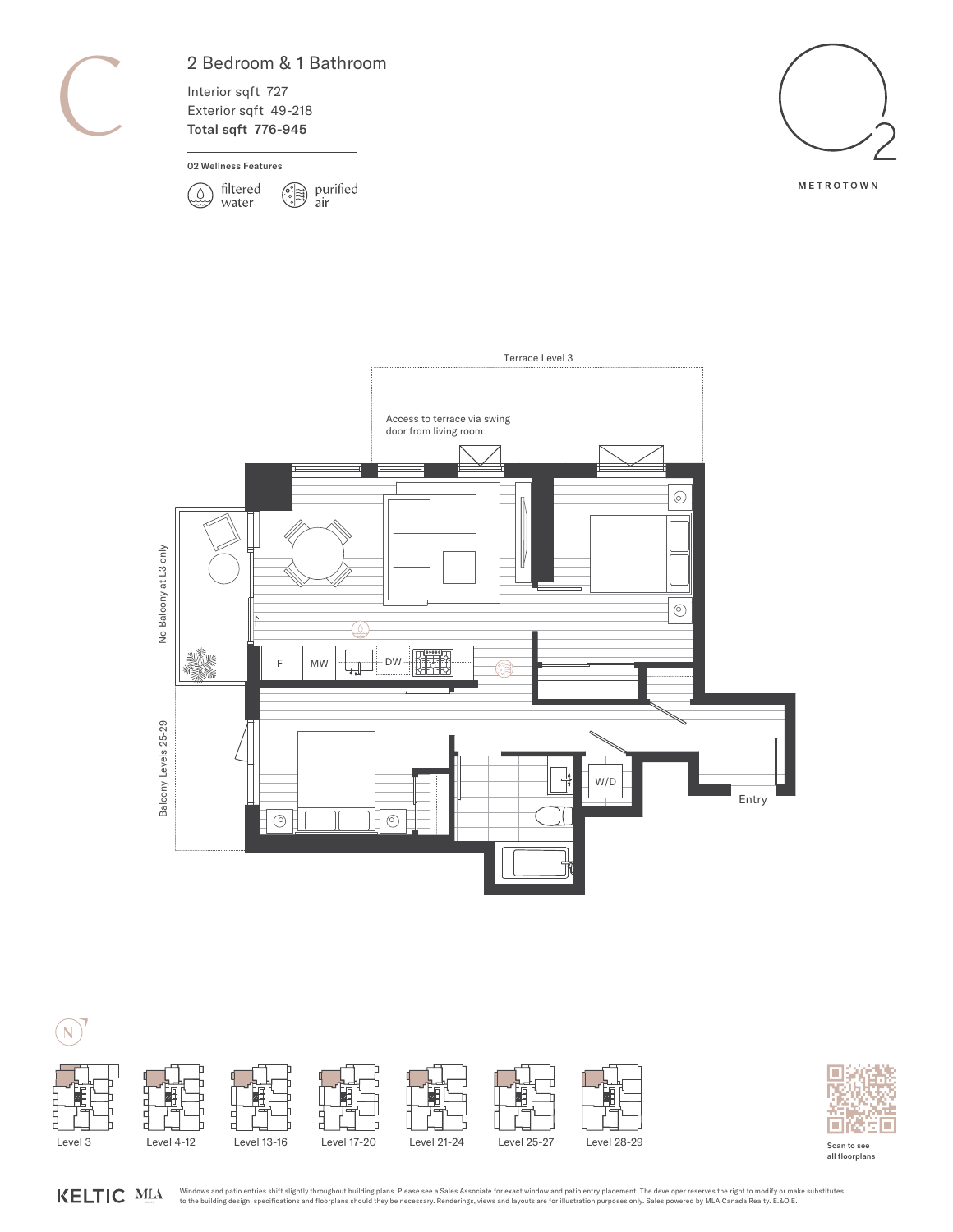### 2 Bedroom & 1 Bathroom

Interior sqft 727 Exterior sqft 49-218 Total sqft 776-945

#### 02 Wellness Features





METROTOWN







Scan to see all floorplans

Windows and patio entries shift slightly throughout building plans. Please see a Sales Associate for exact window and patio entry placement. The developer reserves the right to modify or make substitutes KELTIC MIA to the building design, specifications and floorplans should they be necessary. Renderings, views and layouts are for illustration purposes only. Sales powered by MLA Canada Realty. E.&O.E.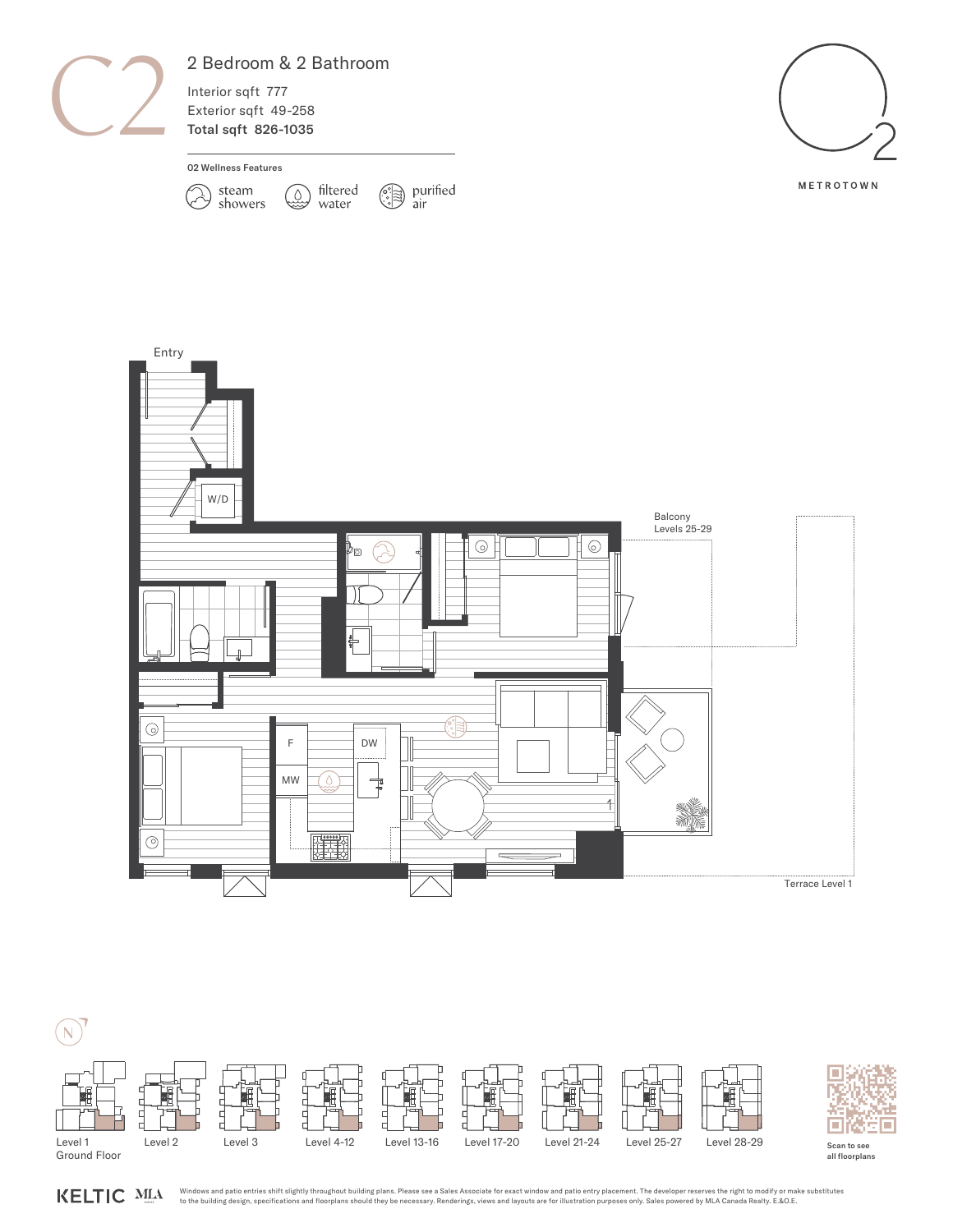

### 2 Bedroom & 2 Bathroom

filtered

water

Interior sqft 777 Exterior sqft 49-258 Total sqft 826-1035

#### 02 Wellness Features



 $\circled{?}$  purified air



METROTOWN





KELTIC MLA

Windows and patio entries shift slightly throughout building plans. Please see a Sales Associate for exact window and patio entry placement. The developer reserves the right to modify or make substitutes<br>to the building de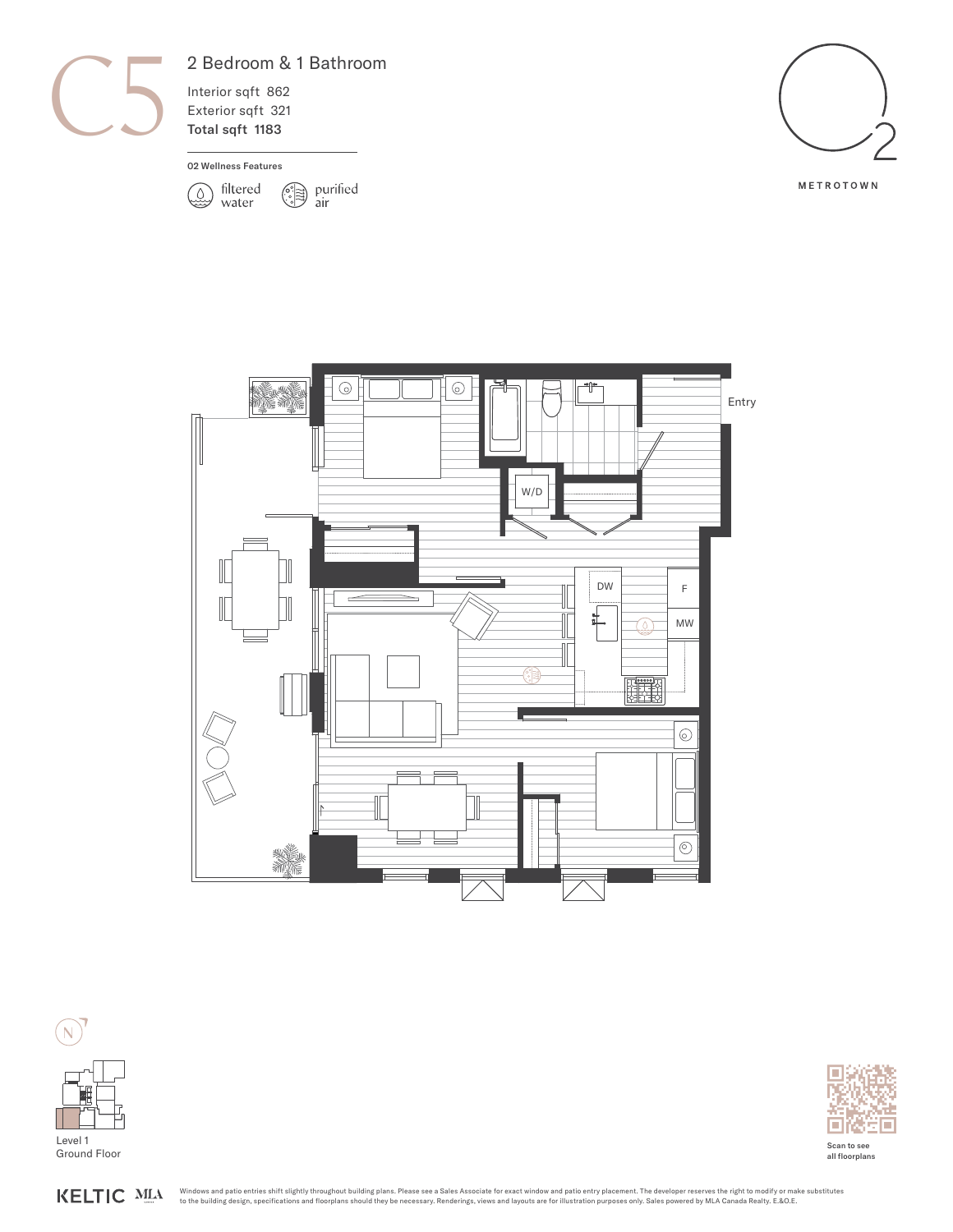

# 2 Bedroom & 1 Bathroom

Interior sqft 862 Exterior sqft 321 Total sqft 1183

#### 02 Wellness Features













Scan to see all floorplans